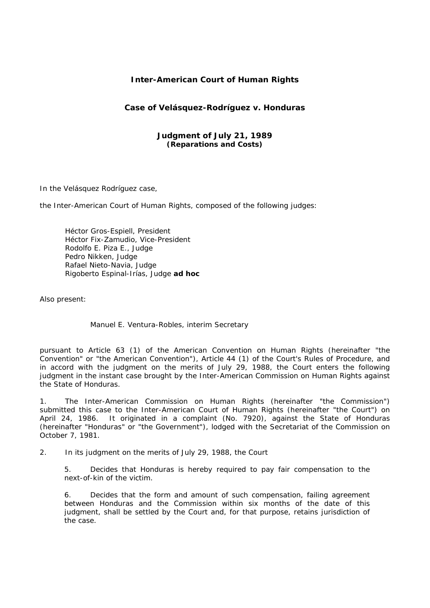# **Inter-American Court of Human Rights**

# **Case of Velásquez-Rodríguez** *v.* **Honduras**

### **Judgment of July 21, 1989**  *(Reparations and Costs)*

In the Velásquez Rodríguez case,

the Inter-American Court of Human Rights, composed of the following judges:

 Héctor Gros-Espiell, President Héctor Fix-Zamudio, Vice-President Rodolfo E. Piza E., Judge Pedro Nikken, Judge Rafael Nieto-Navia, Judge Rigoberto Espinal-Irías, Judge **ad hoc**

Also present:

Manuel E. Ventura-Robles, interim Secretary

pursuant to Article 63 (1) of the American Convention on Human Rights (hereinafter "the Convention" or "the American Convention"), Article 44 (1) of the Court's Rules of Procedure, and in accord with the judgment on the merits of July 29, 1988, the Court enters the following judgment in the instant case brought by the Inter-American Commission on Human Rights against the State of Honduras.

1. The Inter-American Commission on Human Rights (hereinafter "the Commission") submitted this case to the Inter-American Court of Human Rights (hereinafter "the Court") on April 24, 1986. It originated in a complaint (No. 7920), against the State of Honduras (hereinafter "Honduras" or "the Government"), lodged with the Secretariat of the Commission on October 7, 1981.

2. In its judgment on the merits of July 29, 1988, the Court

5. Decides that Honduras is hereby required to pay fair compensation to the next-of-kin of the victim.

6. Decides that the form and amount of such compensation, failing agreement between Honduras and the Commission within six months of the date of this judgment, shall be settled by the Court and, for that purpose, retains jurisdiction of the case.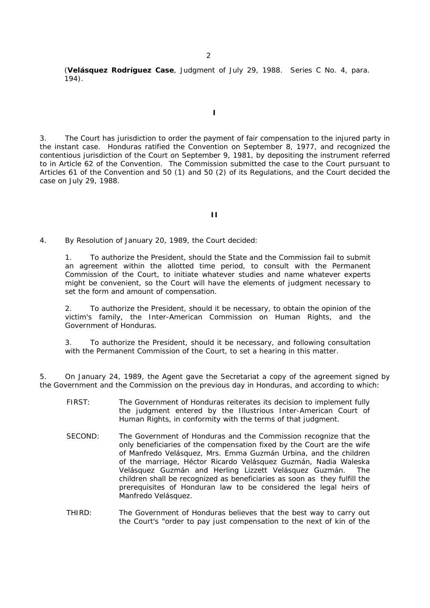(**Velásquez Rodríguez Case**, Judgment of July 29, 1988. Series C No. 4, para. 194).

**I** 

3. The Court has jurisdiction to order the payment of fair compensation to the injured party in the instant case. Honduras ratified the Convention on September 8, 1977, and recognized the contentious jurisdiction of the Court on September 9, 1981, by depositing the instrument referred to in Article 62 of the Convention. The Commission submitted the case to the Court pursuant to Articles 61 of the Convention and 50 (1) and 50 (2) of its Regulations, and the Court decided the case on July 29, 1988.

#### **II**

4. By Resolution of January 20, 1989, the Court decided:

1. To authorize the President, should the State and the Commission fail to submit an agreement within the allotted time period, to consult with the Permanent Commission of the Court, to initiate whatever studies and name whatever experts might be convenient, so the Court will have the elements of judgment necessary to set the form and amount of compensation.

2. To authorize the President, should it be necessary, to obtain the opinion of the victim's family, the Inter-American Commission on Human Rights, and the Government of Honduras.

3. To authorize the President, should it be necessary, and following consultation with the Permanent Commission of the Court, to set a hearing in this matter.

5. On January 24, 1989, the Agent gave the Secretariat a copy of the agreement signed by the Government and the Commission on the previous day in Honduras, and according to which:

- FIRST: The Government of Honduras reiterates its decision to implement fully the judgment entered by the Illustrious Inter-American Court of Human Rights, in conformity with the terms of that judgment.
- SECOND: The Government of Honduras and the Commission recognize that the only beneficiaries of the compensation fixed by the Court are the wife of Manfredo Velásquez, Mrs. Emma Guzmán Urbina, and the children of the marriage, Héctor Ricardo Velásquez Guzmán, Nadia Waleska Velásquez Guzmán and Herling Lizzett Velásquez Guzmán. The children shall be recognized as beneficiaries as soon as they fulfill the prerequisites of Honduran law to be considered the legal heirs of Manfredo Velásquez.
- THIRD: The Government of Honduras believes that the best way to carry out the Court's "order to pay just compensation to the next of kin of the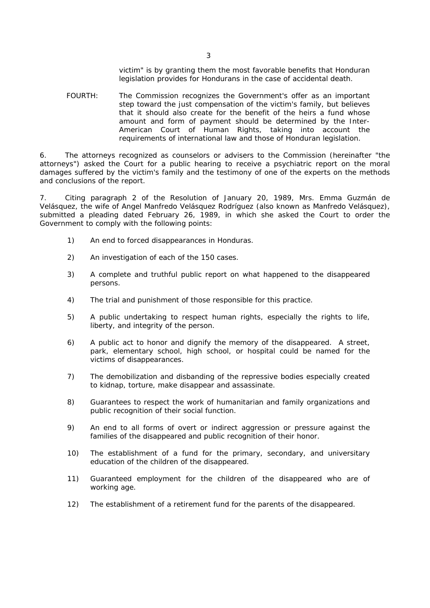victim" is by granting them the most favorable benefits that Honduran legislation provides for Hondurans in the case of accidental death.

FOURTH: The Commission recognizes the Government's offer as an important step toward the just compensation of the victim's family, but believes that it should also create for the benefit of the heirs a fund whose amount and form of payment should be determined by the Inter-American Court of Human Rights, taking into account the requirements of international law and those of Honduran legislation.

6. The attorneys recognized as counselors or advisers to the Commission (hereinafter "the attorneys") asked the Court for a public hearing to receive a psychiatric report on the moral damages suffered by the victim's family and the testimony of one of the experts on the methods and conclusions of the report.

7. Citing paragraph 2 of the Resolution of January 20, 1989, Mrs. Emma Guzmán de Velásquez, the wife of Angel Manfredo Velásquez Rodríguez (also known as Manfredo Velásquez), submitted a pleading dated February 26, 1989, in which she asked the Court to order the Government to comply with the following points:

- 1) An end to forced disappearances in Honduras.
- 2) An investigation of each of the 150 cases.
- 3) A complete and truthful public report on what happened to the disappeared persons.
- 4) The trial and punishment of those responsible for this practice.
- 5) A public undertaking to respect human rights, especially the rights to life, liberty, and integrity of the person.
- 6) A public act to honor and dignify the memory of the disappeared. A street, park, elementary school, high school, or hospital could be named for the victims of disappearances.
- 7) The demobilization and disbanding of the repressive bodies especially created to kidnap, torture, make disappear and assassinate.
- 8) Guarantees to respect the work of humanitarian and family organizations and public recognition of their social function.
- 9) An end to all forms of overt or indirect aggression or pressure against the families of the disappeared and public recognition of their honor.
- 10) The establishment of a fund for the primary, secondary, and universitary education of the children of the disappeared.
- 11) Guaranteed employment for the children of the disappeared who are of working age.
- 12) The establishment of a retirement fund for the parents of the disappeared.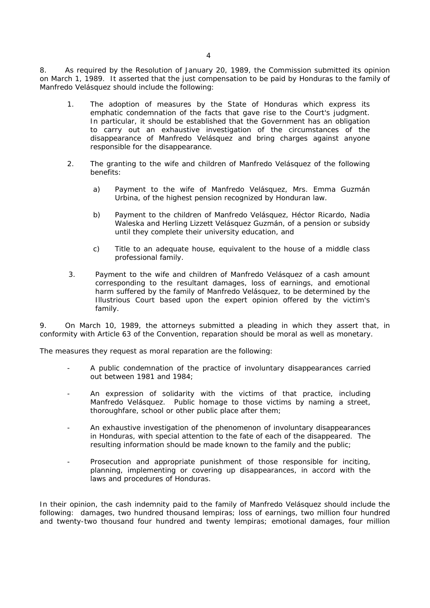8. As required by the Resolution of January 20, 1989, the Commission submitted its opinion on March 1, 1989. It asserted that the just compensation to be paid by Honduras to the family of Manfredo Velásquez should include the following:

- 1. The adoption of measures by the State of Honduras which express its emphatic condemnation of the facts that gave rise to the Court's judgment. In particular, it should be established that the Government has an obligation to carry out an exhaustive investigation of the circumstances of the disappearance of Manfredo Velásquez and bring charges against anyone responsible for the disappearance.
- 2. The granting to the wife and children of Manfredo Velásquez of the following benefits:
	- a) Payment to the wife of Manfredo Velásquez, Mrs. Emma Guzmán Urbina, of the highest pension recognized by Honduran law.
	- b) Payment to the children of Manfredo Velásquez, Héctor Ricardo, Nadia Waleska and Herling Lizzett Velásquez Guzmán, of a pension or subsidy until they complete their university education, and
	- c) Title to an adequate house, equivalent to the house of a middle class professional family.
- 3. Payment to the wife and children of Manfredo Velásquez of a cash amount corresponding to the resultant damages, loss of earnings, and emotional harm suffered by the family of Manfredo Velásquez, to be determined by the Illustrious Court based upon the expert opinion offered by the victim's family.

9. On March 10, 1989, the attorneys submitted a pleading in which they assert that, in conformity with Article 63 of the Convention, reparation should be moral as well as monetary.

The measures they request as moral reparation are the following:

- A public condemnation of the practice of involuntary disappearances carried out between 1981 and 1984;
- An expression of solidarity with the victims of that practice, including Manfredo Velásquez. Public homage to those victims by naming a street, thoroughfare, school or other public place after them;
- An exhaustive investigation of the phenomenon of involuntary disappearances in Honduras, with special attention to the fate of each of the disappeared. The resulting information should be made known to the family and the public;
- Prosecution and appropriate punishment of those responsible for inciting, planning, implementing or covering up disappearances, in accord with the laws and procedures of Honduras.

In their opinion, the cash indemnity paid to the family of Manfredo Velásquez should include the following: damages, two hundred thousand lempiras; loss of earnings, two million four hundred and twenty-two thousand four hundred and twenty lempiras; emotional damages, four million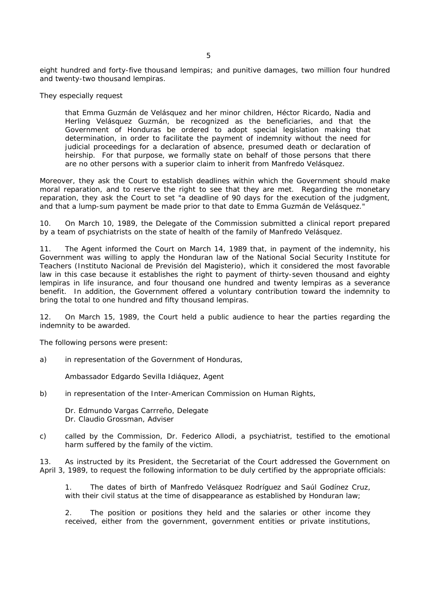eight hundred and forty-five thousand lempiras; and punitive damages, two million four hundred and twenty-two thousand lempiras.

They especially request

that Emma Guzmán de Velásquez and her minor children, Héctor Ricardo, Nadia and Herling Velásquez Guzmán, be recognized as the beneficiaries, and that the Government of Honduras be ordered to adopt special legislation making that determination, in order to facilitate the payment of indemnity without the need for judicial proceedings for a declaration of absence, presumed death or declaration of heirship. For that purpose, we formally state on behalf of those persons that there are no other persons with a superior claim to inherit from Manfredo Velásquez.

Moreover, they ask the Court to establish deadlines within which the Government should make moral reparation, and to reserve the right to see that they are met. Regarding the monetary reparation, they ask the Court to set "a deadline of 90 days for the execution of the judgment, and that a lump-sum payment be made prior to that date to Emma Guzmán de Velásquez."

10. On March 10, 1989, the Delegate of the Commission submitted a clinical report prepared by a team of psychiatrists on the state of health of the family of Manfredo Velásquez.

11. The Agent informed the Court on March 14, 1989 that, in payment of the indemnity, his Government was willing to apply the Honduran law of the National Social Security Institute for Teachers (Instituto Nacional de Previsión del Magisterio), which it considered the most favorable law in this case because it establishes the right to payment of thirty-seven thousand and eighty lempiras in life insurance, and four thousand one hundred and twenty lempiras as a severance benefit. In addition, the Government offered a voluntary contribution toward the indemnity to bring the total to one hundred and fifty thousand lempiras.

12. On March 15, 1989, the Court held a public audience to hear the parties regarding the indemnity to be awarded.

The following persons were present:

a) in representation of the Government of Honduras,

Ambassador Edgardo Sevilla Idiáquez, Agent

b) in representation of the Inter-American Commission on Human Rights,

 Dr. Edmundo Vargas Carrreño, Delegate Dr. Claudio Grossman, Adviser

c) called by the Commission, Dr. Federico Allodi, a psychiatrist, testified to the emotional harm suffered by the family of the victim.

13. As instructed by its President, the Secretariat of the Court addressed the Government on April 3, 1989, to request the following information to be duly certified by the appropriate officials:

1. The dates of birth of Manfredo Velásquez Rodríguez and Saúl Godínez Cruz, with their civil status at the time of disappearance as established by Honduran law;

2. The position or positions they held and the salaries or other income they received, either from the government, government entities or private institutions,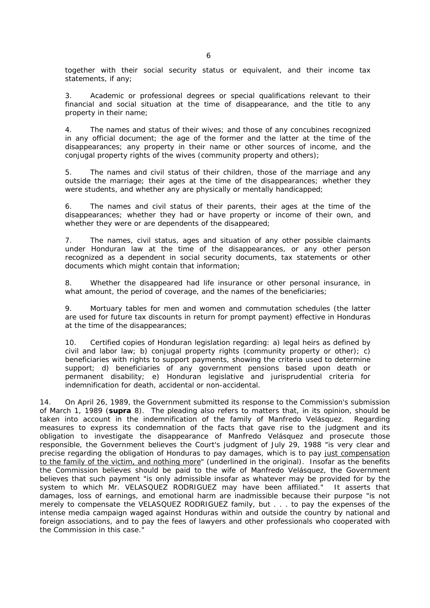together with their social security status or equivalent, and their income tax statements, if any;

3. Academic or professional degrees or special qualifications relevant to their financial and social situation at the time of disappearance, and the title to any property in their name;

4. The names and status of their wives; and those of any concubines recognized in any official document; the age of the former and the latter at the time of the disappearances; any property in their name or other sources of income, and the conjugal property rights of the wives (community property and others);

5. The names and civil status of their children, those of the marriage and any outside the marriage; their ages at the time of the disappearances; whether they were students, and whether any are physically or mentally handicapped;

6. The names and civil status of their parents, their ages at the time of the disappearances; whether they had or have property or income of their own, and whether they were or are dependents of the disappeared;

7. The names, civil status, ages and situation of any other possible claimants under Honduran law at the time of the disappearances, or any other person recognized as a dependent in social security documents, tax statements or other documents which might contain that information;

8. Whether the disappeared had life insurance or other personal insurance, in what amount, the period of coverage, and the names of the beneficiaries;

9. Mortuary tables for men and women and commutation schedules (the latter are used for future tax discounts in return for prompt payment) effective in Honduras at the time of the disappearances;

10. Certified copies of Honduran legislation regarding: a) legal heirs as defined by civil and labor law; b) conjugal property rights (community property or other); c) beneficiaries with rights to support payments, showing the criteria used to determine support; d) beneficiaries of any government pensions based upon death or permanent disability; e) Honduran legislative and jurisprudential criteria for indemnification for death, accidental or non-accidental.

14. On April 26, 1989, the Government submitted its response to the Commission's submission of March 1, 1989 (**supra** 8). The pleading also refers to matters that, in its opinion, should be taken into account in the indemnification of the family of Manfredo Velásquez. Regarding measures to express its condemnation of the facts that gave rise to the judgment and its obligation to investigate the disappearance of Manfredo Velásquez and prosecute those responsible, the Government believes the Court's judgment of July 29, 1988 "is very clear and precise regarding the obligation of Honduras to pay damages, which is to pay just compensation to the family of the victim, and nothing more" (underlined in the original). Insofar as the benefits the Commission believes should be paid to the wife of Manfredo Velásquez, the Government believes that such payment "is only admissible insofar as whatever may be provided for by the system to which Mr. VELASQUEZ RODRIGUEZ may have been affiliated." It asserts that damages, loss of earnings, and emotional harm are inadmissible because their purpose "is not merely to compensate the VELASQUEZ RODRIGUEZ family, but . . . to pay the expenses of the intense media campaign waged against Honduras within and outside the country by national and foreign associations, and to pay the fees of lawyers and other professionals who cooperated with the Commission in this case."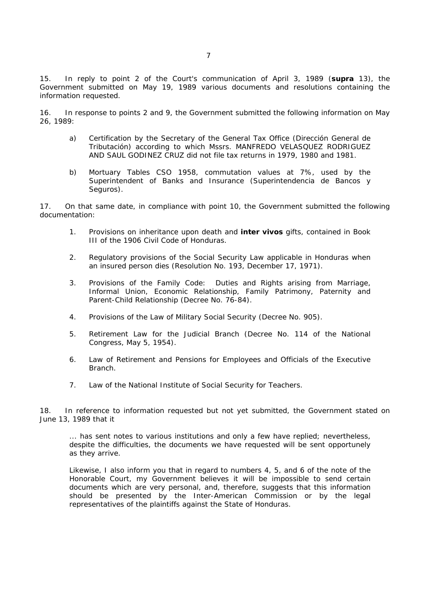15. In reply to point 2 of the Court's communication of April 3, 1989 (**supra** 13), the Government submitted on May 19, 1989 various documents and resolutions containing the information requested.

16. In response to points 2 and 9, the Government submitted the following information on May 26, 1989:

- a) Certification by the Secretary of the General Tax Office (Dirección General de Tributación) according to which Mssrs. MANFREDO VELASQUEZ RODRIGUEZ AND SAUL GODINEZ CRUZ did not file tax returns in 1979, 1980 and 1981.
- b) Mortuary Tables CSO 1958, commutation values at 7%, used by the Superintendent of Banks and Insurance (Superintendencia de Bancos y Seguros).

17. On that same date, in compliance with point 10, the Government submitted the following documentation:

- 1. Provisions on inheritance upon death and **inter vivos** gifts, contained in Book III of the 1906 Civil Code of Honduras.
- 2. Regulatory provisions of the Social Security Law applicable in Honduras when an insured person dies (Resolution No. 193, December 17, 1971).
- 3. Provisions of the Family Code: Duties and Rights arising from Marriage, Informal Union, Economic Relationship, Family Patrimony, Paternity and Parent-Child Relationship (Decree No. 76-84).
- 4. Provisions of the Law of Military Social Security (Decree No. 905).
- 5. Retirement Law for the Judicial Branch (Decree No. 114 of the National Congress, May 5, 1954).
- 6. Law of Retirement and Pensions for Employees and Officials of the Executive Branch.
- 7. Law of the National Institute of Social Security for Teachers.

18. In reference to information requested but not yet submitted, the Government stated on June 13, 1989 that it

... has sent notes to various institutions and only a few have replied; nevertheless, despite the difficulties, the documents we have requested will be sent opportunely as they arrive.

Likewise, I also inform you that in regard to numbers 4, 5, and 6 of the note of the Honorable Court, my Government believes it will be impossible to send certain documents which are very personal, and, therefore, suggests that this information should be presented by the Inter-American Commission or by the legal representatives of the plaintiffs against the State of Honduras.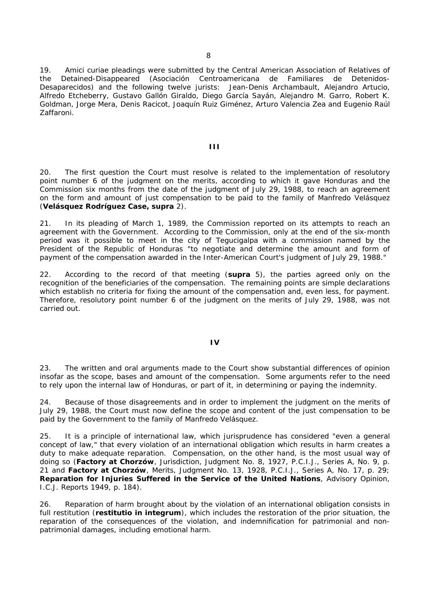19. Amici curiae pleadings were submitted by the Central American Association of Relatives of the Detained-Disappeared (Asociación Centroamericana de Familiares de Detenidos-Desaparecidos) and the following twelve jurists: Jean-Denis Archambault, Alejandro Artucio, Alfredo Etcheberry, Gustavo Gallón Giraldo, Diego García Sayán, Alejandro M. Garro, Robert K. Goldman, Jorge Mera, Denis Racicot, Joaquín Ruiz Giménez, Arturo Valencia Zea and Eugenio Raúl Zaffaroni.

### **III**

20. The first question the Court must resolve is related to the implementation of resolutory point number 6 of the judgment on the merits, according to which it gave Honduras and the Commission six months from the date of the judgment of July 29, 1988, to reach an agreement on the form and amount of just compensation to be paid to the family of Manfredo Velásquez (**Velásquez Rodríguez Case, supra** 2).

21. In its pleading of March 1, 1989, the Commission reported on its attempts to reach an agreement with the Government. According to the Commission, only at the end of the six-month period was it possible to meet in the city of Tegucigalpa with a commission named by the President of the Republic of Honduras "to negotiate and determine the amount and form of payment of the compensation awarded in the Inter-American Court's judgment of July 29, 1988."

22. According to the record of that meeting (**supra** 5), the parties agreed only on the recognition of the beneficiaries of the compensation. The remaining points are simple declarations which establish no criteria for fixing the amount of the compensation and, even less, for payment. Therefore, resolutory point number 6 of the judgment on the merits of July 29, 1988, was not carried out.

### **IV**

23. The written and oral arguments made to the Court show substantial differences of opinion insofar as the scope, bases and amount of the compensation. Some arguments refer to the need to rely upon the internal law of Honduras, or part of it, in determining or paying the indemnity.

24. Because of those disagreements and in order to implement the judgment on the merits of July 29, 1988, the Court must now define the scope and content of the just compensation to be paid by the Government to the family of Manfredo Velásquez.

25. It is a principle of international law, which jurisprudence has considered "even a general concept of law," that every violation of an international obligation which results in harm creates a duty to make adequate reparation. Compensation, on the other hand, is the most usual way of doing so (**Factory at Chorzów**, Jurisdiction, Judgment No. 8, 1927, P.C.I.J., Series A, No. 9, p. 21 and **Factory at Chorzów**, Merits, Judgment No. 13, 1928, P.C.I.J., Series A, No. 17, p. 29; **Reparation for Injuries Suffered in the Service of the United Nations**, Advisory Opinion, I.C.J. Reports 1949, p. 184).

26. Reparation of harm brought about by the violation of an international obligation consists in full restitution (**restitutio in integrum**), which includes the restoration of the prior situation, the reparation of the consequences of the violation, and indemnification for patrimonial and nonpatrimonial damages, including emotional harm.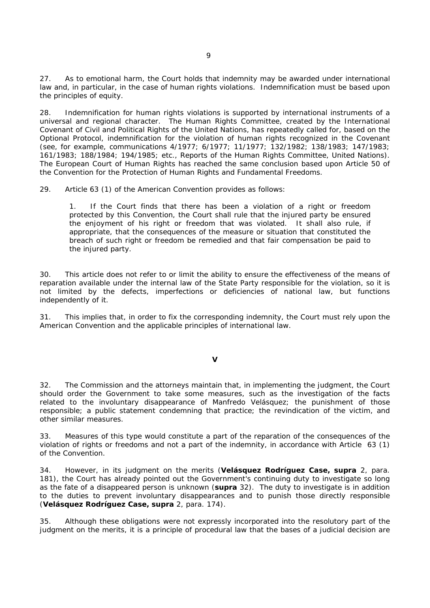27. As to emotional harm, the Court holds that indemnity may be awarded under international law and, in particular, in the case of human rights violations. Indemnification must be based upon the principles of equity.

28. Indemnification for human rights violations is supported by international instruments of a universal and regional character. The Human Rights Committee, created by the International Covenant of Civil and Political Rights of the United Nations, has repeatedly called for, based on the Optional Protocol, indemnification for the violation of human rights recognized in the Covenant (see, for example, communications 4/1977; 6/1977; 11/1977; 132/1982; 138/1983; 147/1983; 161/1983; 188/1984; 194/1985; etc., Reports of the Human Rights Committee, United Nations). The European Court of Human Rights has reached the same conclusion based upon Article 50 of the Convention for the Protection of Human Rights and Fundamental Freedoms.

29. Article 63 (1) of the American Convention provides as follows:

1. If the Court finds that there has been a violation of a right or freedom protected by this Convention, the Court shall rule that the injured party be ensured the enjoyment of his right or freedom that was violated. It shall also rule, if appropriate, that the consequences of the measure or situation that constituted the breach of such right or freedom be remedied and that fair compensation be paid to the injured party.

30. This article does not refer to or limit the ability to ensure the effectiveness of the means of reparation available under the internal law of the State Party responsible for the violation, so it is not limited by the defects, imperfections or deficiencies of national law, but functions independently of it.

31. This implies that, in order to fix the corresponding indemnity, the Court must rely upon the American Convention and the applicable principles of international law.

## **V**

32. The Commission and the attorneys maintain that, in implementing the judgment, the Court should order the Government to take some measures, such as the investigation of the facts related to the involuntary disappearance of Manfredo Velásquez; the punishment of those responsible; a public statement condemning that practice; the revindication of the victim, and other similar measures.

33. Measures of this type would constitute a part of the reparation of the consequences of the violation of rights or freedoms and not a part of the indemnity, in accordance with Article 63 (1) of the Convention.

34. However, in its judgment on the merits (**Velásquez Rodríguez Case, supra** 2, para. 181), the Court has already pointed out the Government's continuing duty to investigate so long as the fate of a disappeared person is unknown (**supra** 32). The duty to investigate is in addition to the duties to prevent involuntary disappearances and to punish those directly responsible (**Velásquez Rodríguez Case, supra** 2, para. 174).

35. Although these obligations were not expressly incorporated into the resolutory part of the judgment on the merits, it is a principle of procedural law that the bases of a judicial decision are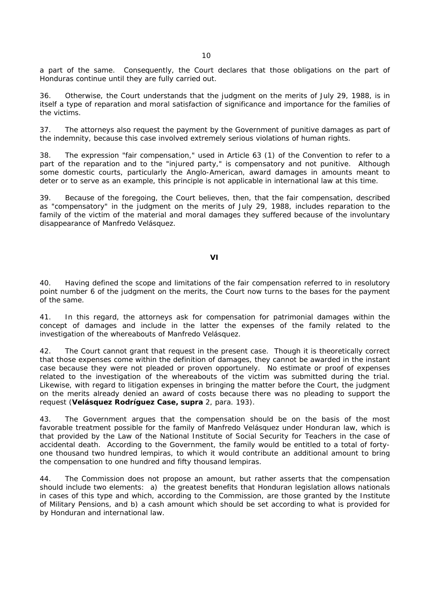a part of the same. Consequently, the Court declares that those obligations on the part of Honduras continue until they are fully carried out.

36. Otherwise, the Court understands that the judgment on the merits of July 29, 1988, is in itself a type of reparation and moral satisfaction of significance and importance for the families of the victims.

37. The attorneys also request the payment by the Government of punitive damages as part of the indemnity, because this case involved extremely serious violations of human rights.

38. The expression "fair compensation," used in Article 63 (1) of the Convention to refer to a part of the reparation and to the "injured party," is compensatory and not punitive. Although some domestic courts, particularly the Anglo-American, award damages in amounts meant to deter or to serve as an example, this principle is not applicable in international law at this time.

39. Because of the foregoing, the Court believes, then, that the fair compensation, described as "compensatory" in the judgment on the merits of July 29, 1988, includes reparation to the family of the victim of the material and moral damages they suffered because of the involuntary disappearance of Manfredo Velásquez.

### **VI**

40. Having defined the scope and limitations of the fair compensation referred to in resolutory point number 6 of the judgment on the merits, the Court now turns to the bases for the payment of the same.

41. In this regard, the attorneys ask for compensation for patrimonial damages within the concept of damages and include in the latter the expenses of the family related to the investigation of the whereabouts of Manfredo Velásquez.

42. The Court cannot grant that request in the present case. Though it is theoretically correct that those expenses come within the definition of damages, they cannot be awarded in the instant case because they were not pleaded or proven opportunely. No estimate or proof of expenses related to the investigation of the whereabouts of the victim was submitted during the trial. Likewise, with regard to litigation expenses in bringing the matter before the Court, the judgment on the merits already denied an award of costs because there was no pleading to support the request (**Velásquez Rodríguez Case, supra** 2, para. 193).

43. The Government argues that the compensation should be on the basis of the most favorable treatment possible for the family of Manfredo Velásquez under Honduran law, which is that provided by the Law of the National Institute of Social Security for Teachers in the case of accidental death. According to the Government, the family would be entitled to a total of fortyone thousand two hundred lempiras, to which it would contribute an additional amount to bring the compensation to one hundred and fifty thousand lempiras.

44. The Commission does not propose an amount, but rather asserts that the compensation should include two elements: a) the greatest benefits that Honduran legislation allows nationals in cases of this type and which, according to the Commission, are those granted by the Institute of Military Pensions, and b) a cash amount which should be set according to what is provided for by Honduran and international law.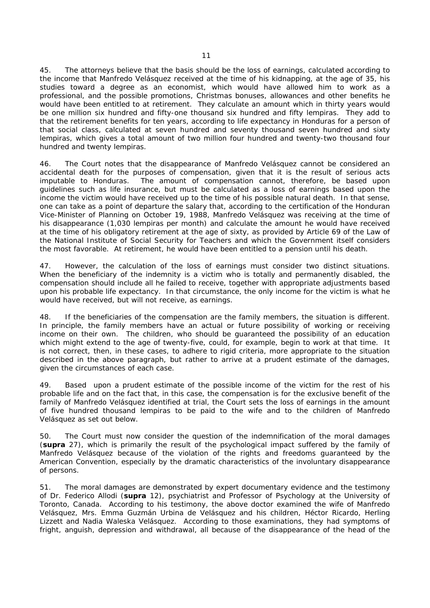45. The attorneys believe that the basis should be the loss of earnings, calculated according to the income that Manfredo Velásquez received at the time of his kidnapping, at the age of 35, his studies toward a degree as an economist, which would have allowed him to work as a professional, and the possible promotions, Christmas bonuses, allowances and other benefits he would have been entitled to at retirement. They calculate an amount which in thirty years would be one million six hundred and fifty-one thousand six hundred and fifty lempiras. They add to that the retirement benefits for ten years, according to life expectancy in Honduras for a person of that social class, calculated at seven hundred and seventy thousand seven hundred and sixty lempiras, which gives a total amount of two million four hundred and twenty-two thousand four hundred and twenty lempiras.

46. The Court notes that the disappearance of Manfredo Velásquez cannot be considered an accidental death for the purposes of compensation, given that it is the result of serious acts imputable to Honduras. The amount of compensation cannot, therefore, be based upon guidelines such as life insurance, but must be calculated as a loss of earnings based upon the income the victim would have received up to the time of his possible natural death. In that sense, one can take as a point of departure the salary that, according to the certification of the Honduran Vice-Minister of Planning on October 19, 1988, Manfredo Velásquez was receiving at the time of his disappearance (1,030 lempiras per month) and calculate the amount he would have received at the time of his obligatory retirement at the age of sixty, as provided by Article 69 of the Law of the National Institute of Social Security for Teachers and which the Government itself considers the most favorable. At retirement, he would have been entitled to a pension until his death.

47. However, the calculation of the loss of earnings must consider two distinct situations. When the beneficiary of the indemnity is a victim who is totally and permanently disabled, the compensation should include all he failed to receive, together with appropriate adjustments based upon his probable life expectancy. In that circumstance, the only income for the victim is what he would have received, but will not receive, as earnings.

48. If the beneficiaries of the compensation are the family members, the situation is different. In principle, the family members have an actual or future possibility of working or receiving income on their own. The children, who should be guaranteed the possibility of an education which might extend to the age of twenty-five, could, for example, begin to work at that time. It is not correct, then, in these cases, to adhere to rigid criteria, more appropriate to the situation described in the above paragraph, but rather to arrive at a prudent estimate of the damages, given the circumstances of each case.

49. Based upon a prudent estimate of the possible income of the victim for the rest of his probable life and on the fact that, in this case, the compensation is for the exclusive benefit of the family of Manfredo Velásquez identified at trial, the Court sets the loss of earnings in the amount of five hundred thousand lempiras to be paid to the wife and to the children of Manfredo Velásquez as set out below.

50. The Court must now consider the question of the indemnification of the moral damages (**supra** 27), which is primarily the result of the psychological impact suffered by the family of Manfredo Velásquez because of the violation of the rights and freedoms guaranteed by the American Convention, especially by the dramatic characteristics of the involuntary disappearance of persons.

51. The moral damages are demonstrated by expert documentary evidence and the testimony of Dr. Federico Allodi (**supra** 12), psychiatrist and Professor of Psychology at the University of Toronto, Canada. According to his testimony, the above doctor examined the wife of Manfredo Velásquez, Mrs. Emma Guzmán Urbina de Velásquez and his children, Héctor Ricardo, Herling Lizzett and Nadia Waleska Velásquez. According to those examinations, they had symptoms of fright, anguish, depression and withdrawal, all because of the disappearance of the head of the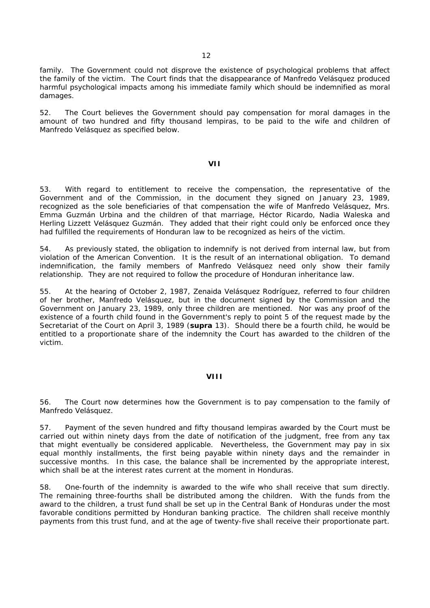family. The Government could not disprove the existence of psychological problems that affect the family of the victim. The Court finds that the disappearance of Manfredo Velásquez produced harmful psychological impacts among his immediate family which should be indemnified as moral damages.

52. The Court believes the Government should pay compensation for moral damages in the amount of two hundred and fifty thousand lempiras, to be paid to the wife and children of Manfredo Velásquez as specified below.

### **VII**

53. With regard to entitlement to receive the compensation, the representative of the Government and of the Commission, in the document they signed on January 23, 1989, recognized as the sole beneficiaries of that compensation the wife of Manfredo Velásquez, Mrs. Emma Guzmán Urbina and the children of that marriage, Héctor Ricardo, Nadia Waleska and Herling Lizzett Velásquez Guzmán. They added that their right could only be enforced once they had fulfilled the requirements of Honduran law to be recognized as heirs of the victim.

54. As previously stated, the obligation to indemnify is not derived from internal law, but from violation of the American Convention. It is the result of an international obligation. To demand indemnification, the family members of Manfredo Velásquez need only show their family relationship. They are not required to follow the procedure of Honduran inheritance law.

55. At the hearing of October 2, 1987, Zenaida Velásquez Rodríguez, referred to four children of her brother, Manfredo Velásquez, but in the document signed by the Commission and the Government on January 23, 1989, only three children are mentioned. Nor was any proof of the existence of a fourth child found in the Government's reply to point 5 of the request made by the Secretariat of the Court on April 3, 1989 (**supra** 13). Should there be a fourth child, he would be entitled to a proportionate share of the indemnity the Court has awarded to the children of the victim.

### **VIII**

56. The Court now determines how the Government is to pay compensation to the family of Manfredo Velásquez.

57. Payment of the seven hundred and fifty thousand lempiras awarded by the Court must be carried out within ninety days from the date of notification of the judgment, free from any tax that might eventually be considered applicable. Nevertheless, the Government may pay in six equal monthly installments, the first being payable within ninety days and the remainder in successive months. In this case, the balance shall be incremented by the appropriate interest, which shall be at the interest rates current at the moment in Honduras.

58. One-fourth of the indemnity is awarded to the wife who shall receive that sum directly. The remaining three-fourths shall be distributed among the children. With the funds from the award to the children, a trust fund shall be set up in the Central Bank of Honduras under the most favorable conditions permitted by Honduran banking practice. The children shall receive monthly payments from this trust fund, and at the age of twenty-five shall receive their proportionate part.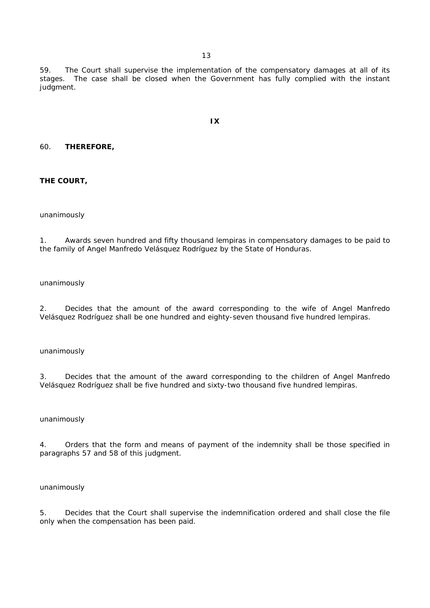59. The Court shall supervise the implementation of the compensatory damages at all of its stages. The case shall be closed when the Government has fully complied with the instant judgment.

**IX** 

# 60. **THEREFORE,**

**THE COURT,**

### unanimously

1. Awards seven hundred and fifty thousand lempiras in compensatory damages to be paid to the family of Angel Manfredo Velásquez Rodríguez by the State of Honduras.

#### unanimously

2. Decides that the amount of the award corresponding to the wife of Angel Manfredo Velásquez Rodríguez shall be one hundred and eighty-seven thousand five hundred lempiras.

## unanimously

3. Decides that the amount of the award corresponding to the children of Angel Manfredo Velásquez Rodríguez shall be five hundred and sixty-two thousand five hundred lempiras.

#### unanimously

4. Orders that the form and means of payment of the indemnity shall be those specified in paragraphs 57 and 58 of this judgment.

### unanimously

5. Decides that the Court shall supervise the indemnification ordered and shall close the file only when the compensation has been paid.